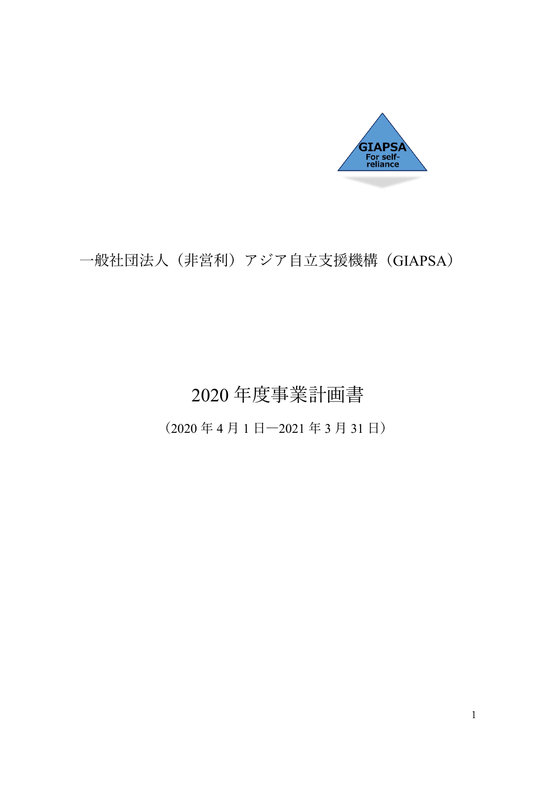

## 一般社団法人(非営利)アジア自立支援機構(GIAPSA)

# 2020 年度事業計画書

(2020 年 4 月 1 日―2021 年 3 月 31 日)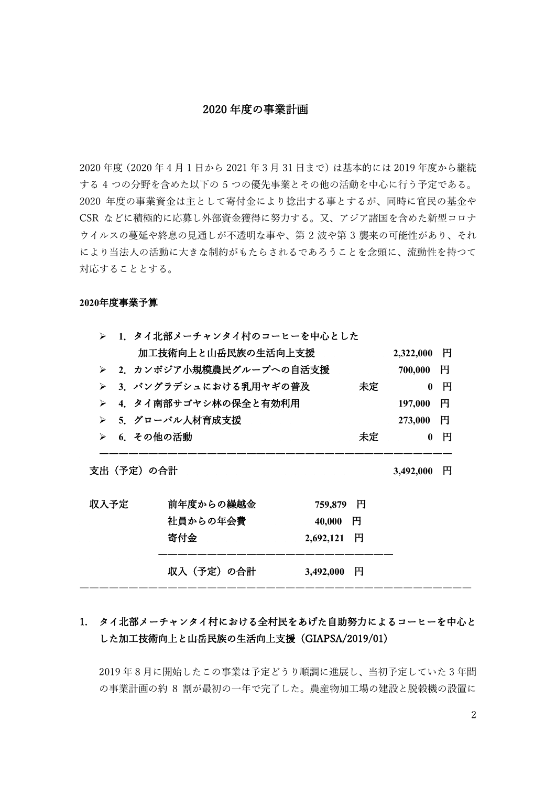#### 2020 年度の事業計画

2020 年度(2020 年 4 月 1 日から 2021 年 3 月 31 日まで)は基本的には 2019 年度から継続 する 4 つの分野を含めた以下の 5 つの優先事業とその他の活動を中心に行う予定である。 2020 年度の事業資金は主として寄付金により捻出する事とするが、同時に官民の基金や CSR などに積極的に応募し外部資金獲得に努力する。又、アジア諸国を含めた新型コロナ ウイルスの蔓延や終息の見通しが不透明な事や、第 2 波や第 3 襲来の可能性があり、それ により当法人の活動に大きな制約がもたらされるであろうことを念頭に、流動性を持つて 対応することとする。

#### **2020**年度事業予算

|                       | ▶ 1.タイ北部メーチャンタイ村のコーヒーを中心とした   |              |              |   |  |
|-----------------------|-------------------------------|--------------|--------------|---|--|
|                       | 加工技術向上と山岳民族の生活向上支援            |              | 2,322,000    | 円 |  |
| ≻                     | 2.カンボジア小規模農民グループへの自活支援        |              | 700,000      | 円 |  |
| ≻                     | 3. バングラデシュにおける乳用ヤギの普及         | 未定           | $\mathbf{0}$ | 円 |  |
| $\blacktriangleright$ | 4. タイ南部サゴヤシ林の保全と有効利用          |              | 197,000      | 円 |  |
| ≻                     | 5. グローバル人材育成支援                |              | 273,000      | 円 |  |
| ≻                     | 6. その他の活動                     | 未定           | 0            | 円 |  |
|                       | 支出(予定)の合計                     |              | 3,492,000    | 円 |  |
|                       | 前年度からの繰越金                     | 円            |              |   |  |
|                       | 759,879<br>社員からの年会費<br>40,000 | $\mathbf{H}$ |              |   |  |
| 収入予定                  | 寄付金<br>2,692,121              | 円            |              |   |  |

## 1. タイ北部メーチャンタイ村における全村民をあげた自助努力によるコーヒーを中心と した加工技術向上と山岳民族の生活向上支援(GIAPSA/2019/01)

2019 年 8 月に開始したこの事業は予定どうり順調に進展し、当初予定していた 3 年間 の事業計画の約 8 割が最初の一年で完了した。農産物加工場の建設と脱穀機の設置に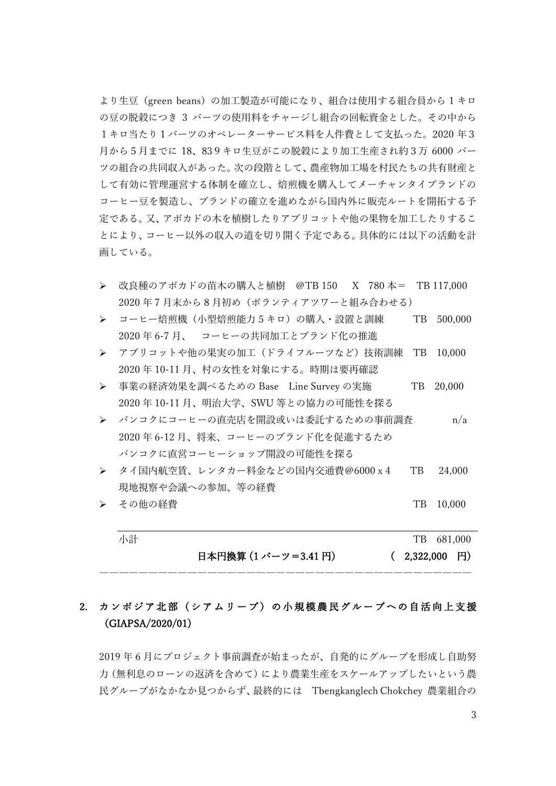より生豆(green beans)の加工製造が可能になり、組合は使用する組合員から 1 キロ の豆の脱穀につき 3 バーツの使用料をチャージし組合の回転資金とした。その中から 1キロ当たり1バーツのオペレーターサービス料を人件費として支払った。2020 年3 月から5月までに 18、839キロ生豆がこの脱穀により加工生産され約3万 6000 バー ツの組合の共同収入があった。次の段階として、農産物加工場を村民たちの共有財産と して有効に管理運営する体制を確立し、焙煎機を購入してメーチャンタイブランドの コーヒー豆を製造し、ブランドの確立を進めながら国内外に販売ルートを開拓する予 定である。又、アボカドの木を植樹したりアプリコットや他の果物を加工したりするこ とにより、コーヒー以外の収入の道を切り開く予定である。具体的には以下の活動を計 画している。

- 改良種のアボカドの苗木の購入と植樹 @TB 150 X 780 本= TB 117,000 2020 年 7 月末から 8 月初め(ボランティアツワーと組み合わせる)
- コーヒー焙煎機(小型焙煎能力 5 キロ)の購入・設置と訓練 TB 500,000 2020 年 6-7 月、 コーヒーの共同加工とブランド化の推進
- **>** アプリコットや他の果実の加工(ドライフルーツなど)技術訓練 TB 10,000 2020 年 10-11 月、村の女性を対象にする。時期は要再確認
- 事業の経済効果を調べるための Base Line Survey の実施 TB 20,000 2020 年 10-11 月、明治大学、SWU 等との協力の可能性を探る
- バンコクにコーヒーの直売店を開設或いは委託するための事前調査 n/a 2020 年 6-12 月、将来、コーヒーのブランド化を促進するため バンコクに直営コーヒーショップ開設の可能性を探る
- タイ国内航空賃、レンタカー料金などの国内交通費@6000x4 TB 24,000 現地視察や会議への参加、等の経費
- **► その他の経費 ファイル マイス しゅうしょう アコン アコン アコン アコ** 10,000

| 小計 |                      | TB 681,000       |
|----|----------------------|------------------|
|    | 日本円換算 (1 バーツ=3.41 円) | $(2,322,000)$ FJ |

## 2. カンボジア北部(シアムリープ) の小規模農民グループへの自活向上支援 (GIAPSA/2020/01)

――――――――――――――――――――――――――――――――――――――

2019 年 6 月にプロジェクト事前調査が始まったが、自発的にグループを形成し自助努 力(無利息のローンの返済を含めて)により農業生産をスケールアップしたいという農 民グループがなかなか見つからず、最終的には Tbengkanglech Chokchey 農業組合の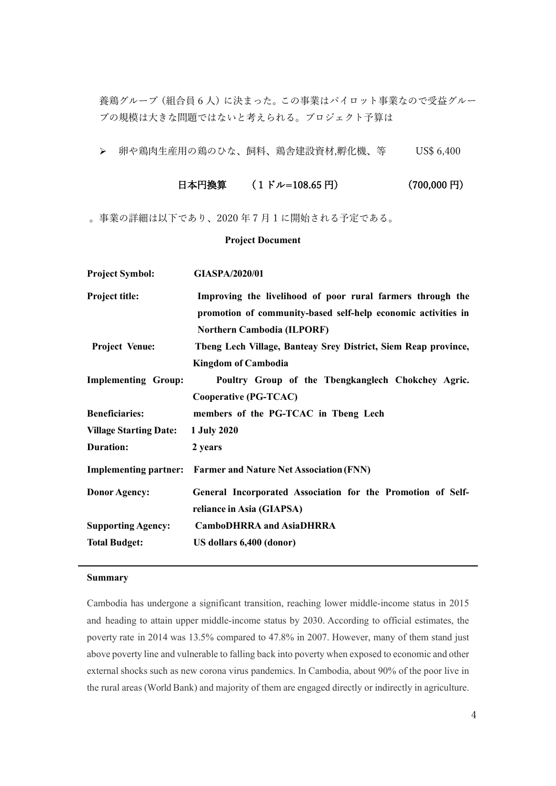養鶏グループ(組合員6人)に決まった。この事業はパイロット事業なので受益グルー プの規模は大きな問題ではないと考えられる。プロジェクト予算は

**>** 卵や鶏肉生産用の鶏のひな、飼料、鶏舎建設資材,孵化機、等 US\$ 6,400

| 日本円換算<br>$(700,000 \;{\rm H})$<br>$(1 \n\mathsf{F} \nu = 108.65 \mathsf{H})$ |
|------------------------------------------------------------------------------|
|------------------------------------------------------------------------------|

。事業の詳細は以下であり、2020 年 7 月 1 に開始される予定である。

#### **Project Document**

| <b>Project Symbol:</b>        | <b>GIASPA/2020/01</b>                                                                                                                                            |
|-------------------------------|------------------------------------------------------------------------------------------------------------------------------------------------------------------|
| <b>Project title:</b>         | Improving the livelihood of poor rural farmers through the<br>promotion of community-based self-help economic activities in<br><b>Northern Cambodia (ILPORF)</b> |
| <b>Project Venue:</b>         | Theng Lech Village, Banteay Srey District, Siem Reap province,                                                                                                   |
|                               | <b>Kingdom of Cambodia</b>                                                                                                                                       |
| <b>Implementing Group:</b>    | Poultry Group of the Tbengkanglech Chokchey Agric.                                                                                                               |
|                               | <b>Cooperative (PG-TCAC)</b>                                                                                                                                     |
| <b>Beneficiaries:</b>         | members of the PG-TCAC in Tbeng Lech                                                                                                                             |
| <b>Village Starting Date:</b> | 1 July 2020                                                                                                                                                      |
| <b>Duration:</b>              | 2 years                                                                                                                                                          |
|                               | <b>Implementing partner:</b> Farmer and Nature Net Association (FNN)                                                                                             |
| <b>Donor Agency:</b>          | General Incorporated Association for the Promotion of Self-                                                                                                      |
|                               | reliance in Asia (GIAPSA)                                                                                                                                        |
| <b>Supporting Agency:</b>     | <b>CamboDHRRA</b> and AsiaDHRRA                                                                                                                                  |
| <b>Total Budget:</b>          | US dollars 6,400 (donor)                                                                                                                                         |

#### **Summary**

Cambodia has undergone a significant transition, reaching lower middle-income status in 2015 and heading to attain upper middle-income status by 2030. According to official estimates, the poverty rate in 2014 was 13.5% compared to 47.8% in 2007. However, many of them stand just above poverty line and vulnerable to falling back into poverty when exposed to economic and other external shocks such as new corona virus pandemics. In Cambodia, about 90% of the poor live in the rural areas (World Bank) and majority of them are engaged directly or indirectly in agriculture.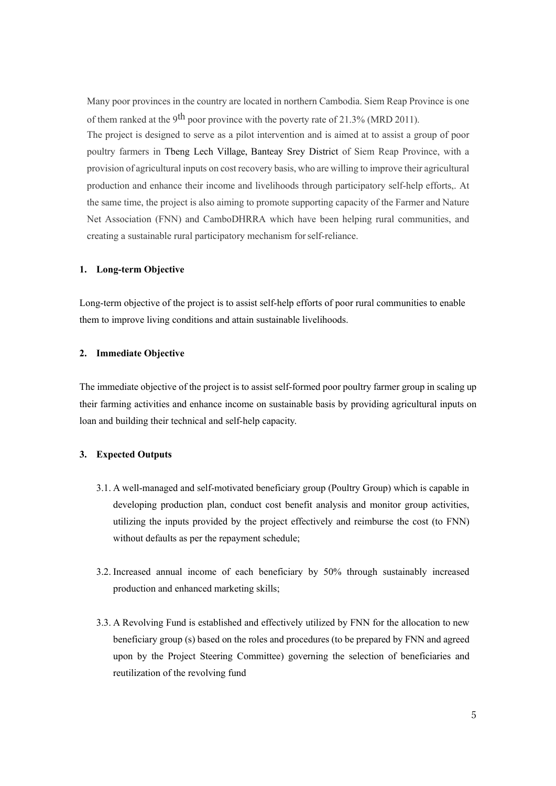Many poor provinces in the country are located in northern Cambodia. Siem Reap Province is one of them ranked at the 9<sup>th</sup> poor province with the poverty rate of 21.3% (MRD 2011).

The project is designed to serve as a pilot intervention and is aimed at to assist a group of poor poultry farmers in Tbeng Lech Village, Banteay Srey District of Siem Reap Province, with a provision of agricultural inputs on cost recovery basis, who are willing to improve their agricultural production and enhance their income and livelihoods through participatory self-help efforts,. At the same time, the project is also aiming to promote supporting capacity of the Farmer and Nature Net Association (FNN) and CamboDHRRA which have been helping rural communities, and creating a sustainable rural participatory mechanism forself-reliance.

#### **1. Long-term Objective**

Long-term objective of the project is to assist self-help efforts of poor rural communities to enable them to improve living conditions and attain sustainable livelihoods.

#### **2. Immediate Objective**

The immediate objective of the project is to assist self-formed poor poultry farmer group in scaling up their farming activities and enhance income on sustainable basis by providing agricultural inputs on loan and building their technical and self-help capacity.

#### **3. Expected Outputs**

- 3.1. A well-managed and self-motivated beneficiary group (Poultry Group) which is capable in developing production plan, conduct cost benefit analysis and monitor group activities, utilizing the inputs provided by the project effectively and reimburse the cost (to FNN) without defaults as per the repayment schedule;
- 3.2. Increased annual income of each beneficiary by 50% through sustainably increased production and enhanced marketing skills;
- 3.3. A Revolving Fund is established and effectively utilized by FNN for the allocation to new beneficiary group (s) based on the roles and procedures (to be prepared by FNN and agreed upon by the Project Steering Committee) governing the selection of beneficiaries and reutilization of the revolving fund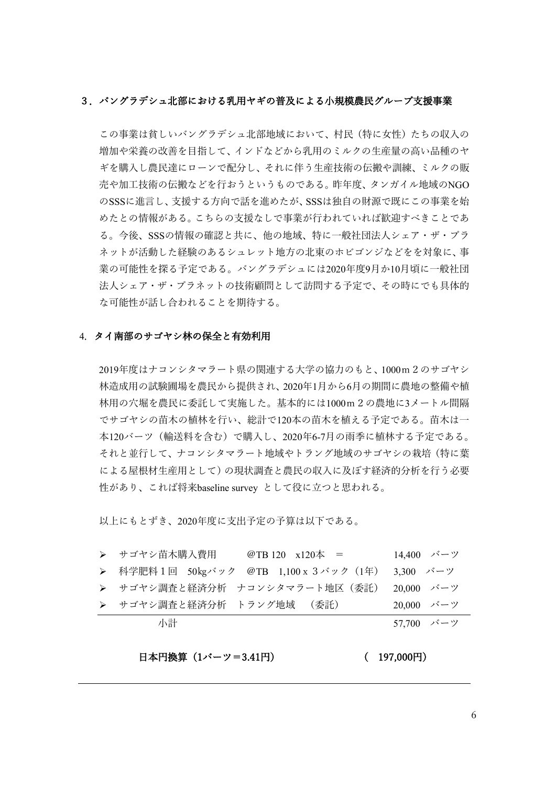#### 3.バングラデシュ北部における乳用ヤギの普及による小規模農民グループ支援事業

この事業は貧しいバングラデシュ北部地域において、村民(特に女性)たちの収入の 増加や栄養の改善を目指して、インドなどから乳用のミルクの生産量の高い品種のヤ ギを購入し農民達にローンで配分し、それに伴う生産技術の伝搬や訓練、ミルクの販 売や加工技術の伝搬などを行おうというものである。昨年度、タンガイル地域のNGO のSSSに進言し、支援する方向で話を進めたが、SSSは独自の財源で既にこの事業を始 めたとの情報がある。こちらの支援なしで事業が行われていれば歓迎すべきことであ る。今後、SSSの情報の確認と共に、他の地域、特に一般社団法人シェア・ザ・プラ ネットが活動した経験のあるシュレット地方の北東のホビゴンジなどをを対象に、事 業の可能性を探る予定である。バングラデシュには2020年度9月か10月頃に一般社団 法人シェア・ザ・プラネットの技術顧問として訪問する予定で、その時にでも具体的 な可能性が話し合われることを期待する。

#### 4.タイ南部のサゴヤシ林の保全と有効利用

2019年度はナコンシタマラート県の関連する大学の協力のもと、1000m2のサゴヤシ 林造成用の試験圃場を農民から提供され、2020年1月から6月の期間に農地の整備や植 林用の穴堀を農民に委託して実施した。基本的には1000m2の農地に3メートル間隔 でサゴヤシの苗木の植林を行い、総計で120本の苗木を植える予定である。苗木は一 本120バーツ(輸送料を含む)で購入し、2020年6-7月の雨季に植林する予定である。 それと並行して、ナコンシタマラート地域やトラング地域のサゴヤシの栽培(特に葉 による屋根材生産用として)の現状調査と農民の収入に及ぼす経済的分析を行う必要 性があり、これば将来baseline survey として役に立つと思われる。

以上にもとずき、2020年度に支出予定の予算は以下である。

|  | 小計                        |                                    | 57,700 バーツ                 |
|--|---------------------------|------------------------------------|----------------------------|
|  | ▶ サゴヤシ調査と経済分析 トラング地域 (委託) |                                    | 20,000 $\vec{y} - \vec{y}$ |
|  |                           | ▶ サゴヤシ調査と経済分析 ナコンシタマラート地区(委託)      | 20.000 バーツ                 |
|  |                           | ▶ 科学肥料1回 50㎏バック @TB 1,100x3バック(1年) | 3,300 バーツ                  |
|  | ▶ サゴヤシ苗木購入費用              | @TB 120 $x120 \neq x120$           | 14,400 バーツ                 |

日本円換算(1バーツ=3.41円) ( 197,000円)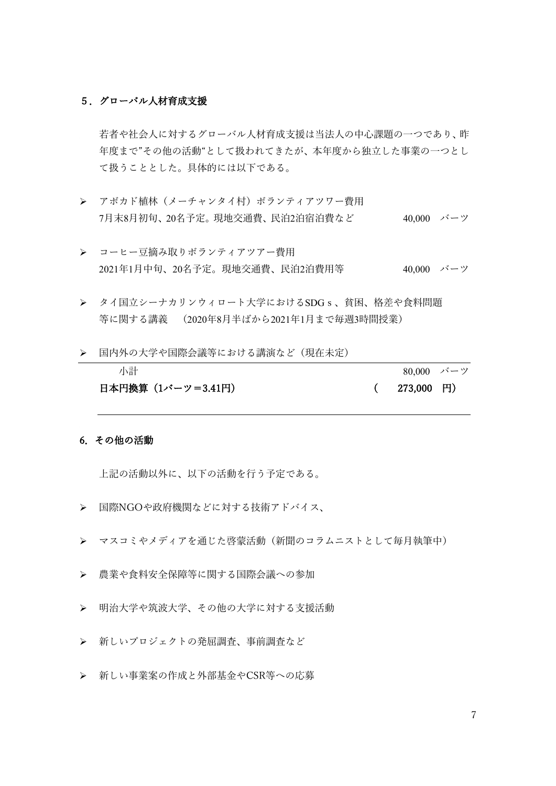#### 5.グローバル人材育成支援

 若者や社会人に対するグローバル人材育成支援は当法人の中心課題の一つであり、昨 年度まで"その他の活動"として扱われてきたが、本年度から独立した事業の一つとし て扱うこととした。具体的には以下である。

- ▶ アボカド植林(メーチャンタイ村)ボランティアツワー費用 7月末8月初旬、20名予定。現地交通費、民泊2泊宿泊費など 40,000 バーツ
- > コーヒー豆摘み取りボランティアツアー費用 2021年1月中旬、20名予定。現地交通費、民泊2泊費用等 40,000 バーツ
- タイ国立シーナカリンウィロート大学におけるSDGs、貧困、格差や食料問題 等に関する講義 (2020年8月半ばから2021年1月まで毎週3時間授業)
- 国内外の大学や国際会議等における講演など(現在未定)

| 小計                | 80,000 バーツ     |  |
|-------------------|----------------|--|
| 日本円換算(1バーツ=3.41円) | $(273,000)$ FJ |  |

#### 6.その他の活動

上記の活動以外に、以下の活動を行う予定である。

- 国際NGOや政府機関などに対する技術アドバイス、
- マスコミやメディアを通じた啓蒙活動(新聞のコラムニストとして毎月執筆中)
- 農業や食料安全保障等に関する国際会議への参加
- ▶ 明治大学や筑波大学、その他の大学に対する支援活動
- > 新しいプロジェクトの発屈調査、事前調査など
- 新しい事業案の作成と外部基金やCSR等への応募